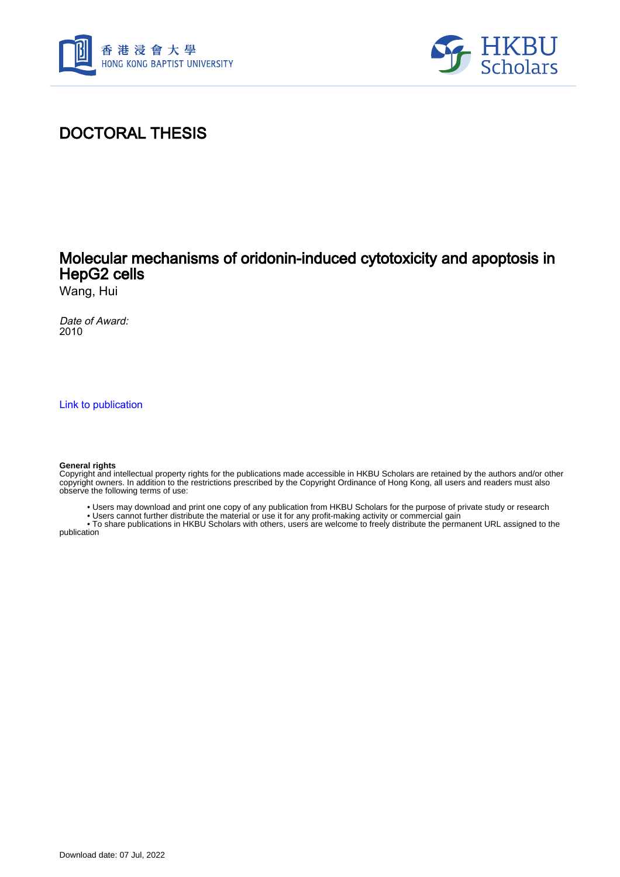



## DOCTORAL THESIS

## Molecular mechanisms of oridonin-induced cytotoxicity and apoptosis in HepG2 cells

Wang, Hui

Date of Award: 2010

[Link to publication](https://scholars.hkbu.edu.hk/en/studentTheses/64820325-8554-4876-814b-c0773f2d5350)

#### **General rights**

Copyright and intellectual property rights for the publications made accessible in HKBU Scholars are retained by the authors and/or other copyright owners. In addition to the restrictions prescribed by the Copyright Ordinance of Hong Kong, all users and readers must also observe the following terms of use:

- Users may download and print one copy of any publication from HKBU Scholars for the purpose of private study or research
- Users cannot further distribute the material or use it for any profit-making activity or commercial gain

 • To share publications in HKBU Scholars with others, users are welcome to freely distribute the permanent URL assigned to the publication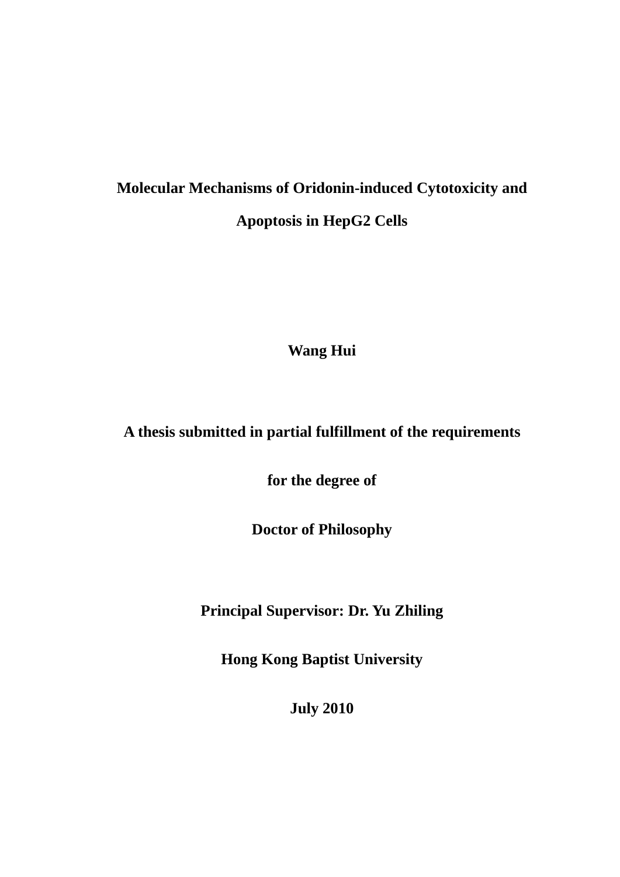# **Molecular Mechanisms of Oridonin-induced Cytotoxicity and Apoptosis in HepG2 Cells**

**Wang Hui** 

## **A thesis submitted in partial fulfillment of the requirements**

**for the degree of**

**Doctor of Philosophy**

**Principal Supervisor: Dr. Yu Zhiling** 

**Hong Kong Baptist University**

**July 2010**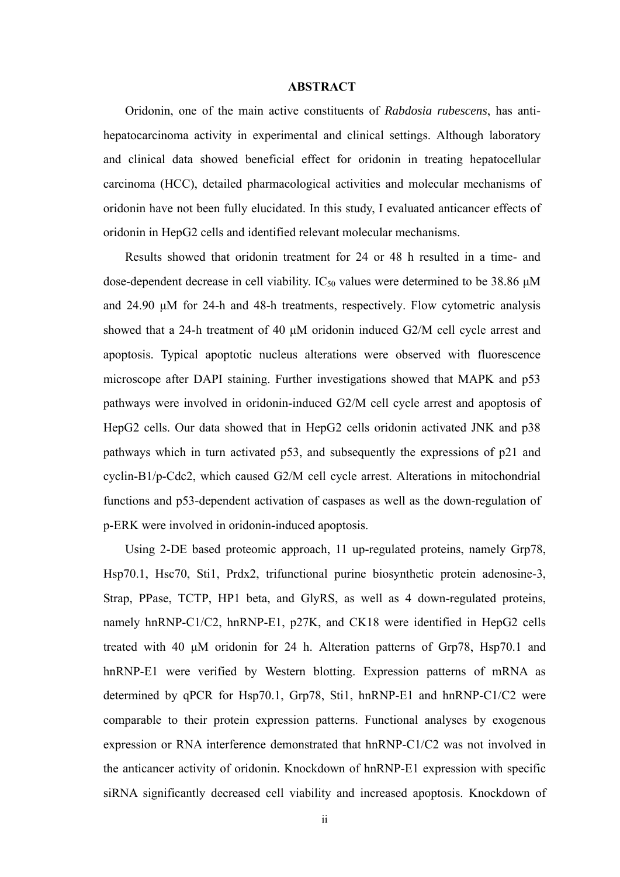### **ABSTRACT**

Oridonin, one of the main active constituents of *Rabdosia rubescens*, has antihepatocarcinoma activity in experimental and clinical settings. Although laboratory and clinical data showed beneficial effect for oridonin in treating hepatocellular carcinoma (HCC), detailed pharmacological activities and molecular mechanisms of oridonin have not been fully elucidated. In this study, I evaluated anticancer effects of oridonin in HepG2 cells and identified relevant molecular mechanisms.

Results showed that oridonin treatment for 24 or 48 h resulted in a time- and dose-dependent decrease in cell viability.  $IC_{50}$  values were determined to be 38.86  $\mu$ M and 24.90 μM for 24-h and 48-h treatments, respectively. Flow cytometric analysis showed that a 24-h treatment of 40 μM oridonin induced G2/M cell cycle arrest and apoptosis. Typical apoptotic nucleus alterations were observed with fluorescence microscope after DAPI staining. Further investigations showed that MAPK and p53 pathways were involved in oridonin-induced G2/M cell cycle arrest and apoptosis of HepG2 cells. Our data showed that in HepG2 cells oridonin activated JNK and p38 pathways which in turn activated p53, and subsequently the expressions of p21 and cyclin-B1/p-Cdc2, which caused G2/M cell cycle arrest. Alterations in mitochondrial functions and p53-dependent activation of caspases as well as the down-regulation of p-ERK were involved in oridonin-induced apoptosis.

Using 2-DE based proteomic approach, 11 up-regulated proteins, namely Grp78, Hsp70.1, Hsc70, Sti1, Prdx2, trifunctional purine biosynthetic protein adenosine-3, Strap, PPase, TCTP, HP1 beta, and GlyRS, as well as 4 down-regulated proteins, namely hnRNP-C1/C2, hnRNP-E1, p27K, and CK18 were identified in HepG2 cells treated with 40 μM oridonin for 24 h. Alteration patterns of Grp78, Hsp70.1 and hnRNP-E1 were verified by Western blotting. Expression patterns of mRNA as determined by qPCR for Hsp70.1, Grp78, Sti1, hnRNP-E1 and hnRNP-C1/C2 were comparable to their protein expression patterns. Functional analyses by exogenous expression or RNA interference demonstrated that hnRNP-C1/C2 was not involved in the anticancer activity of oridonin. Knockdown of hnRNP-E1 expression with specific siRNA significantly decreased cell viability and increased apoptosis. Knockdown of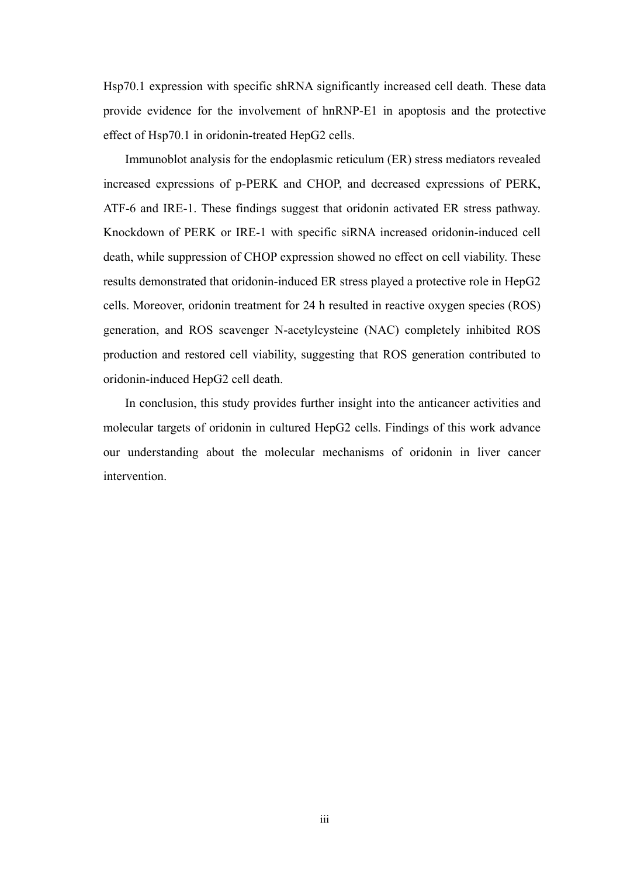Hsp70.1 expression with specific shRNA significantly increased cell death. These data provide evidence for the involvement of hnRNP-E1 in apoptosis and the protective effect of Hsp70.1 in oridonin-treated HepG2 cells.

Immunoblot analysis for the endoplasmic reticulum (ER) stress mediators revealed increased expressions of p-PERK and CHOP, and decreased expressions of PERK, ATF-6 and IRE-1. These findings suggest that oridonin activated ER stress pathway. Knockdown of PERK or IRE-1 with specific siRNA increased oridonin-induced cell death, while suppression of CHOP expression showed no effect on cell viability. These results demonstrated that oridonin-induced ER stress played a protective role in HepG2 cells. Moreover, oridonin treatment for 24 h resulted in reactive oxygen species (ROS) generation, and ROS scavenger N-acetylcysteine (NAC) completely inhibited ROS production and restored cell viability, suggesting that ROS generation contributed to oridonin-induced HepG2 cell death.

In conclusion, this study provides further insight into the anticancer activities and molecular targets of oridonin in cultured HepG2 cells. Findings of this work advance our understanding about the molecular mechanisms of oridonin in liver cancer intervention.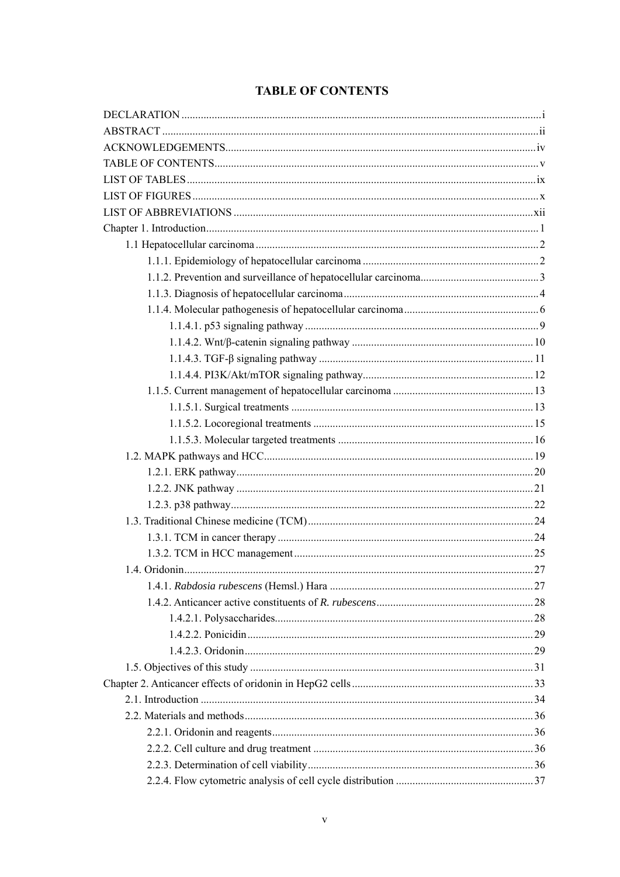## **TABLE OF CONTENTS**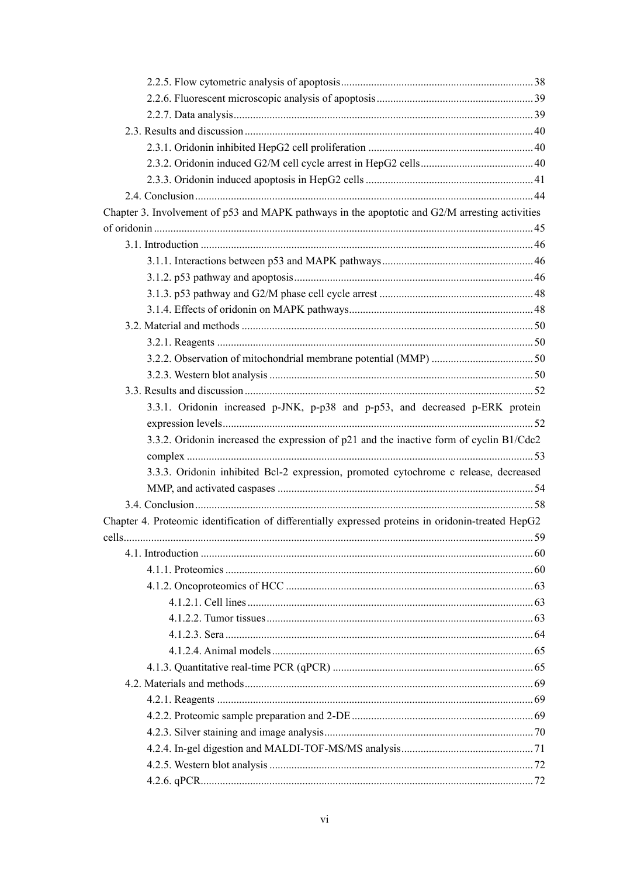| Chapter 3. Involvement of p53 and MAPK pathways in the apoptotic and G2/M arresting activities     |  |
|----------------------------------------------------------------------------------------------------|--|
|                                                                                                    |  |
|                                                                                                    |  |
|                                                                                                    |  |
|                                                                                                    |  |
|                                                                                                    |  |
|                                                                                                    |  |
|                                                                                                    |  |
|                                                                                                    |  |
|                                                                                                    |  |
|                                                                                                    |  |
|                                                                                                    |  |
| 3.3.1. Oridonin increased p-JNK, p-p38 and p-p53, and decreased p-ERK protein                      |  |
|                                                                                                    |  |
| 3.3.2. Oridonin increased the expression of p21 and the inactive form of cyclin B1/Cdc2            |  |
|                                                                                                    |  |
| 3.3.3. Oridonin inhibited Bcl-2 expression, promoted cytochrome c release, decreased               |  |
|                                                                                                    |  |
|                                                                                                    |  |
| Chapter 4. Proteomic identification of differentially expressed proteins in oridonin-treated HepG2 |  |
|                                                                                                    |  |
|                                                                                                    |  |
|                                                                                                    |  |
|                                                                                                    |  |
|                                                                                                    |  |
|                                                                                                    |  |
|                                                                                                    |  |
|                                                                                                    |  |
|                                                                                                    |  |
|                                                                                                    |  |
|                                                                                                    |  |
|                                                                                                    |  |
|                                                                                                    |  |
|                                                                                                    |  |
|                                                                                                    |  |
|                                                                                                    |  |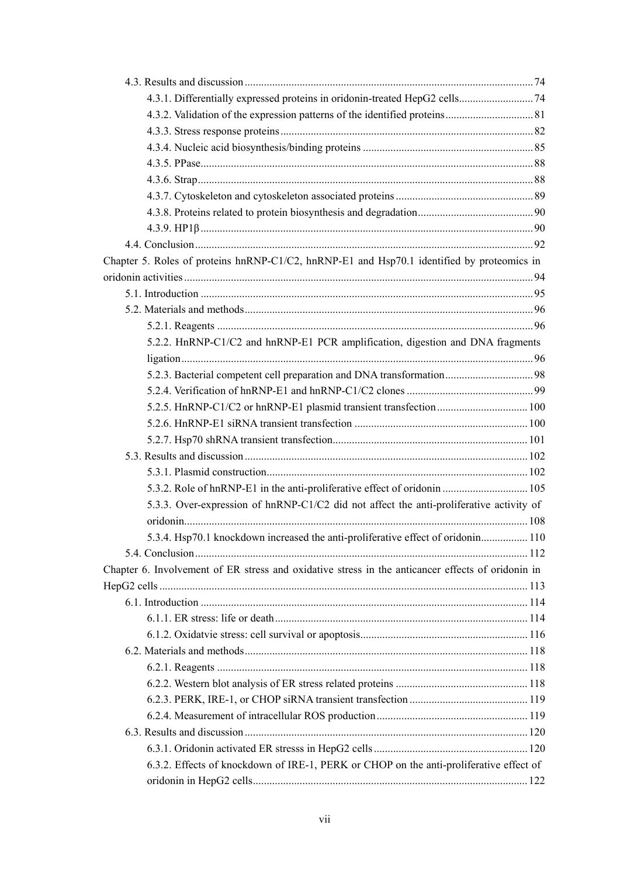| 4.3.1. Differentially expressed proteins in oridonin-treated HepG2 cells 74                       |  |
|---------------------------------------------------------------------------------------------------|--|
|                                                                                                   |  |
|                                                                                                   |  |
|                                                                                                   |  |
|                                                                                                   |  |
|                                                                                                   |  |
|                                                                                                   |  |
|                                                                                                   |  |
|                                                                                                   |  |
|                                                                                                   |  |
| Chapter 5. Roles of proteins hnRNP-C1/C2, hnRNP-E1 and Hsp70.1 identified by proteomics in        |  |
|                                                                                                   |  |
|                                                                                                   |  |
|                                                                                                   |  |
|                                                                                                   |  |
| 5.2.2. HnRNP-C1/C2 and hnRNP-E1 PCR amplification, digestion and DNA fragments                    |  |
|                                                                                                   |  |
|                                                                                                   |  |
|                                                                                                   |  |
|                                                                                                   |  |
|                                                                                                   |  |
|                                                                                                   |  |
|                                                                                                   |  |
|                                                                                                   |  |
|                                                                                                   |  |
| 5.3.3. Over-expression of hnRNP-C1/C2 did not affect the anti-proliferative activity of           |  |
|                                                                                                   |  |
| 5.3.4. Hsp70.1 knockdown increased the anti-proliferative effect of oridonin 110                  |  |
|                                                                                                   |  |
| Chapter 6. Involvement of ER stress and oxidative stress in the anticancer effects of oridonin in |  |
|                                                                                                   |  |
|                                                                                                   |  |
|                                                                                                   |  |
|                                                                                                   |  |
|                                                                                                   |  |
|                                                                                                   |  |
|                                                                                                   |  |
|                                                                                                   |  |
|                                                                                                   |  |
|                                                                                                   |  |
|                                                                                                   |  |
| 6.3.2. Effects of knockdown of IRE-1, PERK or CHOP on the anti-proliferative effect of            |  |
|                                                                                                   |  |